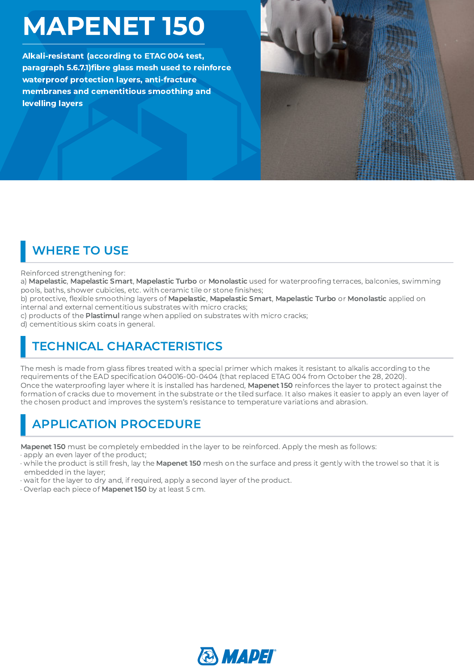# MAPENET 150

Alkali-resistant (according to ETAG 004 test, paragraph 5.6.7.1)fibre glass mesh used to reinforce membranes and cementitious smoothing and waterproof protection layers, anti-fracture levelling layers



## WHERE TO USE

#### Reinforced strengthening for:

a) **Mapelastic, Mapelastic Smart, Mapelastic Turbo** or **Monolastic** used for waterproofing terraces, balconies, swimming<br>pools, baths, shower cubicles, etc. with ceramic tile or stone finishes;<br>b) protective, flexible smoo

pools, baths, shower cubicles, etc. with ceramic tile or stone finishes;<br>b) protective, flexible smoothing layers of **Mapelastic, Mapelastic Sm**;<br>internal and external cementitious substrates with micro cracks;<br>c) products b) protective, flexible smoothing layers of **Mapelastic, Mapelastic Smart, Mapelastic Turbo** or **Monolastic** applied on<br>internal and external cementitious substrates with micro cracks;<br>c) products of the **Plastimul** range internal and external cementitious substrates with micro cracks;

c) products of the **Plastimul** range when applied on substrates with micro cracks;

d) cementitious skim coats in general.

#### TECHNICAL CHARACTERISTICS

The mesh is made from glass fibres treated with a special primer which makes it resistant to alkalis according to the<br>requirements of the EAD specification 040016-00-0404 (that replaced ETAG 004 from October the 28, 2020). fibres treated with a special primer which makes it resistant to alkalis according to the<br>ification 040016-00-0404 (that replaced ETAG 004 from October the 28, 2020).<br>where it is installed has hardened, **Mapenet 150** reinf requirements of the EAD specification 040016-00-0404 (that replaced ETAG 004 from October the 28, 2020).<br>Once the waterproofing layer where it is installed has hardened, **Mapenet 150** reinforces the layer to protect a<sub>i</sub><br>f Once the waterproofing layer where it is installed has hardened, **Mapenet 150** reinforces the layer to protect against the<br>formation of cracks due to movement in the substrate or the tiled surface. It also makes it easier formation of cracks due to movement in the substrate or the tiled surface. It also makes it easier to apply an even layer of the chosen product and improves the system's resistance to temperature variations and abrasion.

### APPLICATION PROCEDURE

Mapenet 150 must be completely embedded in the layer to be reinforced. Apply the mesh as follows:

· apply an even layer of the product;

- · while the product is still fresh, lay the Mapenet 150 mesh on the surface and press it gently with the trowel so that it is embedded in the layer;
- · wait for the layer to dry and, if required, apply a second layer of the product.
- · Overlap each piece of Mapenet 150 by at least 5 cm.

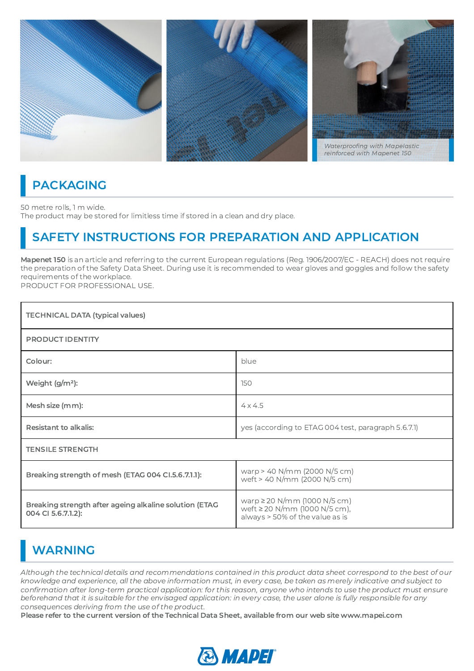

#### PACKAGING

50 metre rolls, 1 m wide. The product may be stored for limitless time if stored in a clean and dry place.

#### SAFETY INSTRUCTIONS FOR PREPARATION AND APPLICATION

Mapenet 150 is an article and referring to the current European regulations (Reg. 1906/2007/EC - REACH) does not require the preparation of the Safety Data Sheet. During use it is recommended to wear gloves and goggles and follow the safety requirements of the workplace.

PRODUCT FOR PROFESSIONAL USE.

| <b>TECHNICAL DATA (typical values)</b>                                       |                                                                                                       |
|------------------------------------------------------------------------------|-------------------------------------------------------------------------------------------------------|
| <b>PRODUCT IDENTITY</b>                                                      |                                                                                                       |
| Colour:                                                                      | blue                                                                                                  |
| Weight $(g/m^2)$ :                                                           | 150                                                                                                   |
| Mesh size (mm):                                                              | $4 \times 4.5$                                                                                        |
| <b>Resistant to alkalis:</b>                                                 | yes (according to ETAG 004 test, paragraph 5.6.7.1)                                                   |
| <b>TENSILE STRENGTH</b>                                                      |                                                                                                       |
| Breaking strength of mesh (ETAG 004 CI.5.6.7.1.1):                           | warp > 40 N/mm (2000 N/5 cm)<br>weft > 40 N/mm (2000 N/5 cm)                                          |
| Breaking strength after ageing alkaline solution (ETAG<br>004 CI 5.6.7.1.2): | warp $\geq$ 20 N/mm (1000 N/5 cm)<br>weft ≥ 20 N/mm (1000 N/5 cm),<br>always > 50% of the value as is |

### WARNING

Although the technical details and recommendations contained in this product data sheet correspond to the best of our knowledge and experience, all the above information must, in every case, be taken as merely indicative and subject to confirmation after long-term practical application: for this reason, anyone who intends to use the product must ensure<br>beforehand that it is suitable for the envisaged application: in every case, the user alone is fully re beforehand that it is suitable for the envisaged application: in every case, the user alone is fully responsible for any consequences deriving from the use of the product.

Please refer to the current version of the Technical Data Sheet, available from our web site www.mapei.com